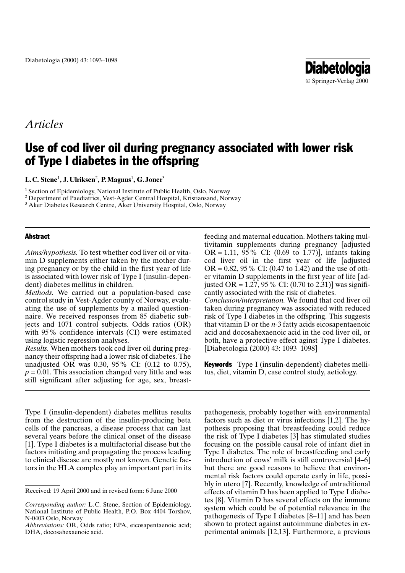# Use of cod liver oil during pregnancy associated with lower risk of Type I diabetes in the offspring

L.C. Stene<sup>1</sup>, J. Ulriksen<sup>2</sup>, P. Magnus<sup>1</sup>, G. Joner<sup>3</sup>

<sup>1</sup> Section of Epidemiology, National Institute of Public Health, Oslo, Norway

<sup>2</sup> Department of Paediatrics, Vest-Agder Central Hospital, Kristiansand, Norway

<sup>3</sup> Aker Diabetes Research Centre, Aker University Hospital, Oslo, Norway

## **Abstract**

Aims/hypothesis. To test whether cod liver oil or vitamin D supplements either taken by the mother during pregnancy or by the child in the first year of life is associated with lower risk of Type I (insulin-dependent) diabetes mellitus in children.

*Methods*. We carried out a population-based case control study in Vest-Agder county of Norway, evaluating the use of supplements by a mailed questionnaire. We received responses from 85 diabetic subjects and 1071 control subjects. Odds ratios (OR) with 95% confidence intervals (CI) were estimated using logistic regression analyses.

*Results.* When mothers took cod liver oil during pregnancy their offspring had a lower risk of diabetes. The unadjusted OR was 0.30, 95% CI:  $(0.12 \text{ to } 0.75)$ ,  $p = 0.01$ . This association changed very little and was still significant after adjusting for age, sex, breast-

Type I (insulin-dependent) diabetes mellitus results from the destruction of the insulin-producing beta cells of the pancreas, a disease process that can last several years before the clinical onset of the disease [1]. Type I diabetes is a multifactorial disease but the factors initiating and propagating the process leading to clinical disease are mostly not known. Genetic factors in the HLA complex play an important part in its feeding and maternal education. Mothers taking multivitamin supplements during pregnancy [adjusted] OR = 1.11, 95% CI:  $(0.69 \text{ to } 1.77)$ ], infants taking cod liver oil in the first year of life [adjusted] OR =  $0.82$ , 95% CI: (0.47 to 1.42) and the use of other vitamin D supplements in the first year of life [adjusted OR = 1.27, 95 % CI:  $(0.70 \text{ to } 2.31)$ ] was significantly associated with the risk of diabetes. Conclusion/interpretation. We found that cod liver oil taken during pregnancy was associated with reduced risk of Type I diabetes in the offspring. This suggests that vitamin D or the  $n-3$  fatty acids eicosapentaenoic acid and docosahexaenoic acid in the cod liver oil, or both, have a protective effect aginst Type I diabetes. [Diabetologia (2000) 43: 1093–1098]

**Diabetologia** © Springer-Verlag 2000

**Keywords** Type I (insulin-dependent) diabetes mellitus, diet, vitamin D, case control study, aetiology.

pathogenesis, probably together with environmental factors such as diet or virus infections [1,2]. The hypothesis proposing that breastfeeding could reduce the risk of Type I diabetes [3] has stimulated studies focusing on the possible causal role of infant diet in Type I diabetes. The role of breastfeeding and early introduction of cows' milk is still controversial [4–6] but there are good reasons to believe that environmental risk factors could operate early in life, possibly in utero [7]. Recently, knowledge of untraditional effects of vitamin D has been applied to Type I diabetes [8]. Vitamin D has several effects on the immune system which could be of potential relevance in the pathogenesis of Type I diabetes [8–11] and has been shown to protect against autoimmune diabetes in experimental animals [12,13]. Furthermore, a previous

Received: 19 April 2000 and in revised form: 6 June 2000

Corresponding author: L.C. Stene, Section of Epidemiology, National Institute of Public Health, P.O. Box 4404 Torshov, N-0403 Oslo, Norway

Abbreviations: OR, Odds ratio; EPA, eicosapentaenoic acid; DHA, docosahexaenoic acid.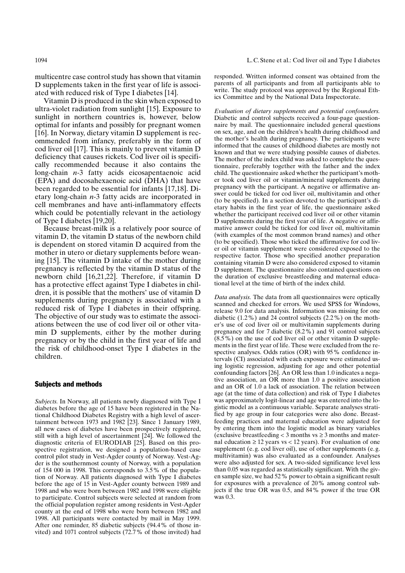1094

multicentre case control study has shown that vitamin D supplements taken in the first year of life is associated with reduced risk of Type I diabetes [14].

Vitamin D is produced in the skin when exposed to ultra-violet radiation from sunlight [15]. Exposure to sunlight in northern countries is, however, below optimal for infants and possibly for pregnant women [16]. In Norway, dietary vitamin D supplement is recommended from infancy, preferably in the form of cod liver oil [17]. This is mainly to prevent vitamin D deficiency that causes rickets. Cod liver oil is specifically recommended because it also contains the long-chain  $n-3$  fatty acids eicosapentaenoic acid (EPA) and docosahexaenoic acid (DHA) that have been regarded to be essential for infants [17,18]. Dietary long-chain  $n-3$  fatty acids are incorporated in cell membranes and have anti-inflammatory effects which could be potentially relevant in the aetiology of Type I diabetes [19,20].

Because breast-milk is a relatively poor source of vitamin D, the vitamin D status of the newborn child is dependent on stored vitamin D acquired from the mother in utero or dietary supplements before weaning [15]. The vitamin D intake of the mother during pregnancy is reflected by the vitamin D status of the newborn child [16,21,22]. Therefore, if vitamin D has a protective effect against Type I diabetes in children, it is possible that the mothers' use of vitamin D supplements during pregnancy is associated with a reduced risk of Type I diabetes in their offspring. The objective of our study was to estimate the associations between the use of cod liver oil or other vitamin D supplements, either by the mother during pregnancy or by the child in the first year of life and the risk of childhood-onset Type I diabetes in the children.

## **Subjects and methods**

Subjects. In Norway, all patients newly diagnosed with Type I diabetes before the age of 15 have been registered in the National Childhood Diabetes Registry with a high level of ascertainment between 1973 and 1982 [23]. Since 1 January 1989, all new cases of diabetes have been prospectively registered, still with a high level of ascertainment  $[24]$ . We followed the diagnostic criteria of EURODIAB  $[25]$ . Based on this prospective registration, we designed a population-based case control pilot study in Vest-Agder county of Norway. Vest-Agder is the southernmost county of Norway, with a population of 154 000 in 1998. This corresponds to  $3.5\%$  of the population of Norway. All patients diagnosed with Type I diabetes before the age of 15 in Vest-Agder county between 1989 and 1998 and who were born between 1982 and 1998 were eligible to participate. Control subjects were selected at random from the official population register among residents in Vest-Agder county at the end of 1998 who were born between 1982 and 1998. All participants were contacted by mail in May 1999. After one reminder, 85 diabetic subjects (94.4% of those invited) and 1071 control subjects (72.7% of those invited) had responded. Written informed consent was obtained from the parents of all participants and from all participants able to write. The study protocol was approved by the Regional Ethics Committee and by the National Data Inspectorate.

Evaluation of dietary supplements and potential confounders. Diabetic and control subjects received a four-page questionnaire by mail. The questionnaire included general questions on sex, age, and on the children's health during childhood and the mother's health during pregnancy. The participants were informed that the causes of childhood diabetes are mostly not known and that we were studying possible causes of diabetes. The mother of the index child was asked to complete the questionnaire, preferably together with the father and the index child. The questionnaire asked whether the participant's mother took cod liver oil or vitamin/mineral supplements during pregnancy with the participant. A negative or affirmative answer could be ticked for cod liver oil, multivitamin and other (to be specified). In a section devoted to the participant's dietary habits in the first year of life, the questionnaire asked whether the participant received cod liver oil or other vitamin D supplements during the first year of life. A negative or affirmative answer could be ticked for cod liver oil, multivitamin (with examples of the most common brand names) and other (to be specified). Those who ticked the affirmative for cod liver oil or vitamin supplement were considered exposed to the respective factor. Those who specified another preparation containing vitamin D were also considered exposed to vitamin D supplement. The questionnaire also contained questions on the duration of exclusive breastfeeding and maternal educational level at the time of birth of the index child.

Data analysis. The data from all questionnaires were optically scanned and checked for errors. We used SPSS for Windows, release 9.0 for data analysis. Information was missing for one diabetic  $(1.2\%)$  and 24 control subjects  $(2.2\%)$  on the mother's use of cod liver oil or multivitamin supplements during pregnancy and for 7 diabetic (8.2%) and 91 control subjects  $(8.5\%)$  on the use of cod liver oil or other vitamin D supplements in the first year of life. These were excluded from the respective analyses. Odds ratios (OR) with 95% confidence intervals (CI) associated with each exposure were estimated using logistic regression, adjusting for age and other potential confounding factors [26]. An OR less than 1.0 indicates a negative association, an OR more than 1.0 a positive association and an OR of 1.0 a lack of association. The relation between age (at the time of data collection) and risk of Type I diabetes was approximately logit-linear and age was entered into the logistic model as a continuous variable. Separate analyses stratified by age group in four categories were also done. Breastfeeding practices and maternal education were adjusted for by entering them into the logistic model as binary variables (exclusive breastfeeding  $<$  3 months vs  $\geq$  3 months and maternal education  $\geq 12$  years vs < 12 years). For evaluation of one supplement (e.g. cod liver oil), use of other supplements (e.g. multivitamin) was also evaluated as a confounder. Analyses were also adjusted for sex. A two-sided significance level less than 0.05 was regarded as statistically significant. With the given sample size, we had 52 % power to obtain a significant result for exposures with a prevalence of 20% among control subjects if the true OR was 0.5, and 84% power if the true OR was  $0.3$ .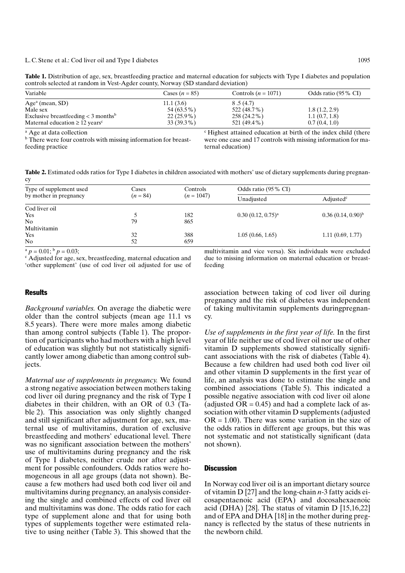#### L.C. Stene et al.: Cod liver oil and Type I diabetes

Table 1. Distribution of age, sex, breastfeeding practice and maternal education for subjects with Type I diabetes and population controls selected at random in Vest-Agder county, Norway (SD standard deviation)

| Variable                                                | Cases $(n = 85)$ | Controls $(n = 1071)$ | Odds ratio (95 % CI) |
|---------------------------------------------------------|------------------|-----------------------|----------------------|
| $Agea$ (mean, SD)                                       | 11.1(3.6)        | 8.5(4.7)              |                      |
| Male sex                                                | 54 (63.5%)       | 522 (48.7%)           | 1.8(1.2, 2.9)        |
| Exclusive breastfeeding $<$ 3 months <sup>b</sup>       | $22(25.9\%)$     | $258(24.2\%)$         | 1.1(0.7, 1.8)        |
| Maternal education $\geq 12$ years <sup>c</sup>         | $33(39.3\%)$     | 521 (49.4 %)          | 0.7(0.4, 1.0)        |
| $\sim$ $\sim$ $\sim$ $\sim$ $\sim$ $\sim$ $\sim$ $\sim$ |                  |                       | .                    |

<sup>a</sup> Age at data collection

<sup>b</sup> There were four controls with missing information for breastfeeding practice

<sup>c</sup> Highest attained education at birth of the index child (there were one case and 17 controls with missing information for maternal education)

**Table 2.** Estimated odds ratios for Type I diabetes in children associated with mothers' use of dietary supplements during pregnancy

| Type of supplement used<br>by mother in pregnancy | Cases<br>$(n = 84)$ | Controls<br>$(n = 1047)$ | Odds ratio (95% CI)    |                         |
|---------------------------------------------------|---------------------|--------------------------|------------------------|-------------------------|
|                                                   |                     |                          | Unadjusted             | Adjusted <sup>c</sup>   |
| Cod liver oil                                     |                     |                          |                        |                         |
| Yes                                               |                     | 182                      | $0.30(0.12, 0.75)^{a}$ | $(0.36 (0.14, 0.90)^b)$ |
| N <sub>0</sub>                                    | 79                  | 865                      |                        |                         |
| Multivitamin                                      |                     |                          |                        |                         |
| Yes                                               | 32                  | 388                      | 1.05(0.66, 1.65)       | 1.11(0.69, 1.77)        |
| No                                                | 52                  | 659                      |                        |                         |

 $p = 0.01$ ;  $p = 0.03$ ;

<sup>c</sup>Adjusted for age, sex, breastfeeding, maternal education and 'other supplement' (use of cod liver oil adjusted for use of multivitamin and vice versa). Six individuals were excluded due to missing information on maternal education or breastfeeding

# **Results**

*Background variables.* On average the diabetic were older than the control subjects (mean age 11.1 vs 8.5 years). There were more males among diabetic than among control subjects (Table 1). The proportion of participants who had mothers with a high level of education was slightly but not statistically significantly lower among diabetic than among control subjects.

Maternal use of supplements in pregnancy. We found a strong negative association between mothers taking cod liver oil during pregnancy and the risk of Type I diabetes in their children, with an OR of 0.3 (Table 2). This association was only slightly changed and still significant after adjustment for age, sex, maternal use of multivitamins, duration of exclusive breastfeeding and mothers' educational level. There was no significant association between the mothers' use of multivitamins during pregnancy and the risk of Type I diabetes, neither crude nor after adjustment for possible confounders. Odds ratios were homogeneous in all age groups (data not shown). Because a few mothers had used both cod liver oil and multivitamins during pregnancy, an analysis considering the single and combined effects of cod liver oil and multivitamins was done. The odds ratio for each type of supplement alone and that for using both types of supplements together were estimated relative to using neither (Table 3). This showed that the association between taking of cod liver oil during pregnancy and the risk of diabetes was independent of taking multivitamin supplements during pregnancy.

Use of supplements in the first year of life. In the first year of life neither use of cod liver oil nor use of other vitamin D supplements showed statistically significant associations with the risk of diabetes (Table 4). Because a few children had used both cod liver oil and other vitamin D supplements in the first year of life, an analysis was done to estimate the single and combined associations (Table 5). This indicated a possible negative association with cod liver oil alone (adjusted  $OR = 0.45$ ) and had a complete lack of association with other vitamin D supplements (adjusted  $OR = 1.00$ ). There was some variation in the size of the odds ratios in different age groups, but this was not systematic and not statistically significant (data not shown).

## **Discussion**

In Norway cod liver oil is an important dietary source of vitamin D [27] and the long-chain  $n-3$  fatty acids eicosapentaenoic acid (EPA) and docosahexaenoic acid (DHA) [28]. The status of vitamin D  $[15,16,22]$ and of EPA and DHA [18] in the mother during pregnancy is reflected by the status of these nutrients in the newborn child.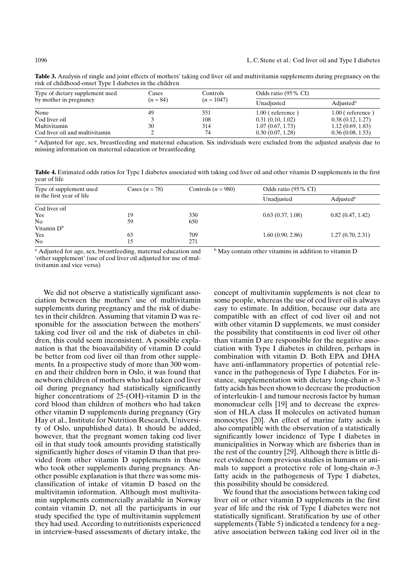| Type of dietary supplement used | Cases<br>$(n = 84)$ | Controls<br>$(n = 1047)$ | Odds ratio (95 % CI) |                       |
|---------------------------------|---------------------|--------------------------|----------------------|-----------------------|
| by mother in pregnancy          |                     |                          | Unadjusted           | Adjusted <sup>a</sup> |
| None                            | 49                  | 551                      | $1.00$ (reference)   | $1.00$ (reference)    |
| Cod liver oil                   |                     | 108                      | 0.31(0.10, 1.02)     | 0.38(0.12, 1.27)      |
| Multivitamin                    | 30                  | 314                      | 1.07(0.67, 1.73)     | 1.12(0.69, 1.83)      |
| Cod liver oil and multivitamin  |                     | 74                       | 0.30(0.07, 1.28)     | 0.36(0.08, 1.53)      |

Table 3. Analysis of single and joint effects of mothers' taking cod liver oil and multivitamin supplements during pregnancy on the risk of childhood-onset Type I diabetes in the children

a Adjusted for age, sex, breastfeeding and maternal education. Six individuals were excluded from the adjusted analysis due to missing information on maternal education or breastfeeding

Table 4. Estimated odds ratios for Type I diabetes associated with taking cod liver oil and other vitamin D supplements in the first year of life

| Type of supplement used<br>in the first year of life | Cases $(n = 78)$ | Controls $(n = 980)$ | Odds ratio (95 % CI) |                       |
|------------------------------------------------------|------------------|----------------------|----------------------|-----------------------|
|                                                      |                  |                      | Unadjusted           | Adjusted <sup>a</sup> |
| Cod liver oil                                        |                  |                      |                      |                       |
| Yes                                                  | 19               | 330                  | 0.63(0.37, 1.08)     | 0.82(0.47, 1.42)      |
| N <sub>0</sub>                                       | 59               | 650                  |                      |                       |
| Vitamin D <sup>b</sup>                               |                  |                      |                      |                       |
| Yes                                                  | 63               | 709                  | 1.60(0.90, 2.86)     | 1.27(0.70, 2.31)      |
| N <sub>0</sub>                                       | 15               | 271                  |                      |                       |

<sup>a</sup> Adjusted for age, sex, breastfeeding, maternal education and 'other supplement' (use of cod liver oil adjusted for use of multivitamin and vice versa)

We did not observe a statistically significant association between the mothers' use of multivitamin supplements during pregnancy and the risk of diabetes in their children. Assuming that vitamin D was responsible for the association between the mothers' taking cod liver oil and the risk of diabetes in children, this could seem inconsistent. A possible explanation is that the bioavailability of vitamin D could be better from cod liver oil than from other supplements. In a prospective study of more than 300 women and their children born in Oslo, it was found that newborn children of mothers who had taken cod liver oil during pregnancy had statistically significantly higher concentrations of  $25$ -(OH)-vitamin D in the cord blood than children of mothers who had taken other vitamin D supplements during pregnancy (Gry Hay et al., Institute for Nutrition Research, University of Oslo, unpublished data). It should be added, however, that the pregnant women taking cod liver oil in that study took amounts providing statistically significantly higher doses of vitamin D than that provided from other vitamin D supplements in those who took other supplements during pregnancy. Another possible explanation is that there was some misclassification of intake of vitamin D based on the multivitamin information. Although most multivitamin supplements commercially available in Norway contain vitamin D, not all the participants in our study specified the type of multivitamin supplement they had used. According to nutritionists experienced in interview-based assessments of dietary intake, the

concept of multivitamin supplements is not clear to some people, whereas the use of cod liver oil is always easy to estimate. In addition, because our data are compatible with an effect of cod liver oil and not with other vitamin D supplements, we must consider the possibility that constituents in cod liver oil other than vitamin D are responsible for the negative association with Type I diabetes in children, perhaps in combination with vitamin D. Both EPA and DHA have anti-inflammatory properties of potential relevance in the pathogenesis of Type I diabetes. For instance, supplementation with dietary long-chain  $n-3$ fatty acids has been shown to decrease the production of interleukin-1 and tumour necrosis factor by human mononuclear cells [19] and to decrease the expression of HLA class II molecules on activated human monocytes [20]. An effect of marine fatty acids is also compatible with the observation of a statistically significantly lower incidence of Type I diabetes in municipalities in Norway which are fisheries than in the rest of the country [29]. Although there is little direct evidence from previous studies in humans or animals to support a protective role of long-chain  $n-3$ fatty acids in the pathogenesis of Type I diabetes, this possibility should be considered.

We found that the associations between taking cod liver oil or other vitamin D supplements in the first year of life and the risk of Type I diabetes were not statistically significant. Stratification by use of other supplements (Table 5) indicated a tendency for a negative association between taking cod liver oil in the

1096

<sup>b</sup> May contain other vitamins in addition to vitamin D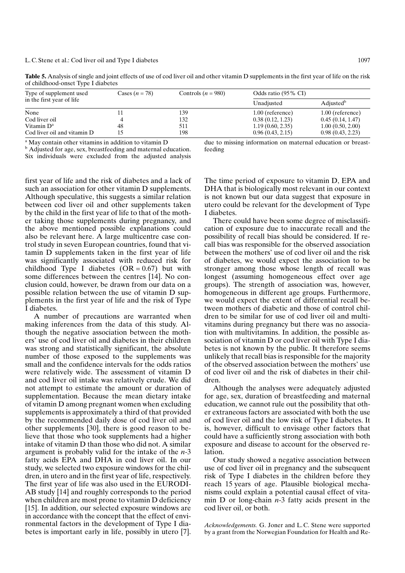| Type of supplement used<br>in the first year of life | Cases $(n = 78)$ | Controls $(n = 980)$ | Odds ratio (95 % CI) |                       |
|------------------------------------------------------|------------------|----------------------|----------------------|-----------------------|
|                                                      |                  |                      | Unadjusted           | Adjusted <sup>b</sup> |
| None                                                 |                  | 139                  | 1.00 (reference)     | $1.00$ (reference)    |
| Cod liver oil                                        | 4                | 132                  | 0.38(0.12, 1.23)     | 0.45(0.14, 1.47)      |
| Vitamin D <sup>a</sup>                               | 48               | 511                  | 1.19(0.60, 2.35)     | 1.00(0.50, 2.00)      |
| Cod liver oil and vitamin D                          | 15               | 198                  | 0.96(0.43, 2.15)     | 0.98(0.43, 2.23)      |

Table 5. Analysis of single and joint effects of use of cod liver oil and other vitamin D supplements in the first year of life on the risk of childhood-onset Type I diabetes

<sup>a</sup> May contain other vitamins in addition to vitamin D

<sup>b</sup> Adjusted for age, sex, breastfeeding and maternal education. Six individuals were excluded from the adjusted analysis due to missing information on maternal education or breastfeeding

first year of life and the risk of diabetes and a lack of such an association for other vitamin D supplements. Although speculative, this suggests a similar relation between cod liver oil and other supplements taken by the child in the first year of life to that of the mother taking those supplements during pregnancy, and the above mentioned possible explanations could also be relevant here. A large multicentre case control study in seven European countries, found that vitamin D supplements taken in the first year of life was significantly associated with reduced risk for childhood Type I diabetes  $(OR = 0.67)$  but with some differences between the centres [14]. No conclusion could, however, be drawn from our data on a possible relation between the use of vitamin D supplements in the first year of life and the risk of Type I diabetes.

A number of precautions are warranted when making inferences from the data of this study. Although the negative association between the mothers' use of cod liver oil and diabetes in their children was strong and statistically significant, the absolute number of those exposed to the supplements was small and the confidence intervals for the odds ratios were relatively wide. The assessment of vitamin D and cod liver oil intake was relatively crude. We did not attempt to estimate the amount or duration of supplementation. Because the mean dietary intake of vitamin D among pregnant women when excluding supplements is approximately a third of that provided by the recommended daily dose of cod liver oil and other supplements [30], there is good reason to believe that those who took supplements had a higher intake of vitamin D than those who did not. A similar argument is probably valid for the intake of the  $n-3$ fatty acids EPA and DHA in cod liver oil. In our study, we selected two exposure windows for the children, in utero and in the first year of life, respectively. The first year of life was also used in the EURODI-AB study [14] and roughly corresponds to the period when children are most prone to vitamin D deficiency [15]. In addition, our selected exposure windows are in accordance with the concept that the effect of environmental factors in the development of Type I diabetes is important early in life, possibly in utero [7]. The time period of exposure to vitamin D, EPA and DHA that is biologically most relevant in our context is not known but our data suggest that exposure in utero could be relevant for the development of Type I diabetes.

There could have been some degree of misclassification of exposure due to inaccurate recall and the possibility of recall bias should be considered. If recall bias was responsible for the observed association between the mothers' use of cod liver oil and the risk of diabetes, we would expect the association to be stronger among those whose length of recall was longest (assuming homogeneous effect over age groups). The strength of association was, however, homogeneous in different age groups. Furthermore, we would expect the extent of differential recall between mothers of diabetic and those of control children to be similar for use of cod liver oil and multivitamins during pregnancy but there was no association with multivitamins. In addition, the possible association of vitamin D or cod liver oil with Type I diabetes is not known by the public. It therefore seems unlikely that recall bias is responsible for the majority of the observed association between the mothers' use of cod liver oil and the risk of diabetes in their children.

Although the analyses were adequately adjusted for age, sex, duration of breastfeeding and maternal education, we cannot rule out the possibility that other extraneous factors are associated with both the use of cod liver oil and the low risk of Type I diabetes. It is, however, difficult to envisage other factors that could have a sufficiently strong association with both exposure and disease to account for the observed relation.

Our study showed a negative association between use of cod liver oil in pregnancy and the subsequent risk of Type I diabetes in the children before they reach 15 years of age. Plausible biological mechanisms could explain a potential causal effect of vitamin D or long-chain  $n-3$  fatty acids present in the cod liver oil, or both.

Acknowledgements. G. Joner and L.C. Stene were supported by a grant from the Norwegian Foundation for Health and Re